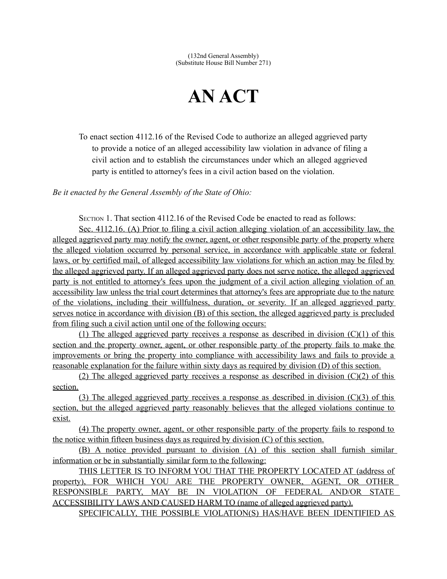## **AN ACT**

To enact section 4112.16 of the Revised Code to authorize an alleged aggrieved party to provide a notice of an alleged accessibility law violation in advance of filing a civil action and to establish the circumstances under which an alleged aggrieved party is entitled to attorney's fees in a civil action based on the violation.

*Be it enacted by the General Assembly of the State of Ohio:*

SECTION 1. That section 4112.16 of the Revised Code be enacted to read as follows:

 Sec. 4112.16. (A) Prior to filing a civil action alleging violation of an accessibility law, the alleged aggrieved party may notify the owner, agent, or other responsible party of the property where the alleged violation occurred by personal service, in accordance with applicable state or federal laws, or by certified mail, of alleged accessibility law violations for which an action may be filed by the alleged aggrieved party. If an alleged aggrieved party does not serve notice, the alleged aggrieved party is not entitled to attorney's fees upon the judgment of a civil action alleging violation of an accessibility law unless the trial court determines that attorney's fees are appropriate due to the nature of the violations, including their willfulness, duration, or severity. If an alleged aggrieved party serves notice in accordance with division (B) of this section, the alleged aggrieved party is precluded from filing such a civil action until one of the following occurs:

(1) The alleged aggrieved party receives a response as described in division  $(C)(1)$  of this section and the property owner, agent, or other responsible party of the property fails to make the improvements or bring the property into compliance with accessibility laws and fails to provide a reasonable explanation for the failure within sixty days as required by division (D) of this section.

(2) The alleged aggrieved party receives a response as described in division  $(C)(2)$  of this section.

(3) The alleged aggrieved party receives a response as described in division  $(C)(3)$  of this section, but the alleged aggrieved party reasonably believes that the alleged violations continue to exist.

 (4) The property owner, agent, or other responsible party of the property fails to respond to the notice within fifteen business days as required by division (C) of this section.

 (B) A notice provided pursuant to division (A) of this section shall furnish similar information or be in substantially similar form to the following:

 THIS LETTER IS TO INFORM YOU THAT THE PROPERTY LOCATED AT (address of property), FOR WHICH YOU ARE THE PROPERTY OWNER, AGENT, OR OTHER RESPONSIBLE PARTY, MAY BE IN VIOLATION OF FEDERAL AND/OR STATE ACCESSIBILITY LAWS AND CAUSED HARM TO (name of alleged aggrieved party). SPECIFICALLY, THE POSSIBLE VIOLATION(S) HAS/HAVE BEEN IDENTIFIED AS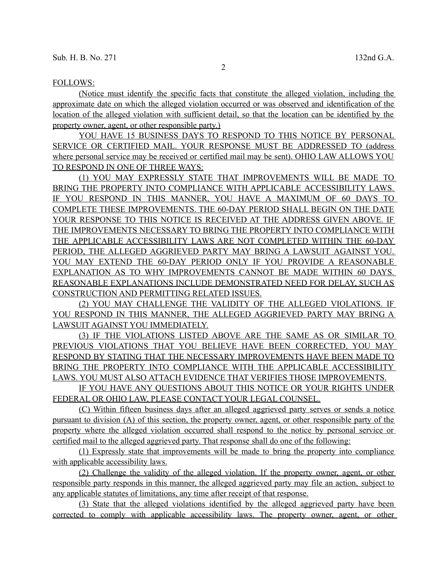## FOLLOWS:

 (Notice must identify the specific facts that constitute the alleged violation, including the approximate date on which the alleged violation occurred or was observed and identification of the location of the alleged violation with sufficient detail, so that the location can be identified by the property owner, agent, or other responsible party.)

YOU HAVE 15 BUSINESS DAYS TO RESPOND TO THIS NOTICE BY PERSONAL SERVICE OR CERTIFIED MAIL. YOUR RESPONSE MUST BE ADDRESSED TO (address where personal service may be received or certified mail may be sent). OHIO LAW ALLOWS YOU TO RESPOND IN ONE OF THREE WAYS:

 (1) YOU MAY EXPRESSLY STATE THAT IMPROVEMENTS WILL BE MADE TO BRING THE PROPERTY INTO COMPLIANCE WITH APPLICABLE ACCESSIBILITY LAWS. IF YOU RESPOND IN THIS MANNER, YOU HAVE A MAXIMUM OF 60 DAYS TO COMPLETE THESE IMPROVEMENTS. THE 60-DAY PERIOD SHALL BEGIN ON THE DATE YOUR RESPONSE TO THIS NOTICE IS RECEIVED AT THE ADDRESS GIVEN ABOVE. IF THE IMPROVEMENTS NECESSARY TO BRING THE PROPERTY INTO COMPLIANCE WITH THE APPLICABLE ACCESSIBILITY LAWS ARE NOT COMPLETED WITHIN THE 60-DAY PERIOD, THE ALLEGED AGGRIEVED PARTY MAY BRING A LAWSUIT AGAINST YOU. YOU MAY EXTEND THE 60-DAY PERIOD ONLY IF YOU PROVIDE A REASONABLE EXPLANATION AS TO WHY IMPROVEMENTS CANNOT BE MADE WITHIN 60 DAYS. REASONABLE EXPLANATIONS INCLUDE DEMONSTRATED NEED FOR DELAY, SUCH AS CONSTRUCTION AND PERMITTING RELATED ISSUES.

 (2) YOU MAY CHALLENGE THE VALIDITY OF THE ALLEGED VIOLATIONS. IF YOU RESPOND IN THIS MANNER, THE ALLEGED AGGRIEVED PARTY MAY BRING A LAWSUIT AGAINST YOU IMMEDIATELY.

 (3) IF THE VIOLATIONS LISTED ABOVE ARE THE SAME AS OR SIMILAR TO PREVIOUS VIOLATIONS THAT YOU BELIEVE HAVE BEEN CORRECTED, YOU MAY RESPOND BY STATING THAT THE NECESSARY IMPROVEMENTS HAVE BEEN MADE TO BRING THE PROPERTY INTO COMPLIANCE WITH THE APPLICABLE ACCESSIBILITY LAWS. YOU MUST ALSO ATTACH EVIDENCE THAT VERIFIES THOSE IMPROVEMENTS.

 IF YOU HAVE ANY QUESTIONS ABOUT THIS NOTICE OR YOUR RIGHTS UNDER FEDERAL OR OHIO LAW, PLEASE CONTACT YOUR LEGAL COUNSEL.

 (C) Within fifteen business days after an alleged aggrieved party serves or sends a notice pursuant to division (A) of this section, the property owner, agent, or other responsible party of the property where the alleged violation occurred shall respond to the notice by personal service or certified mail to the alleged aggrieved party. That response shall do one of the following:

 (1) Expressly state that improvements will be made to bring the property into compliance with applicable accessibility laws.

 (2) Challenge the validity of the alleged violation. If the property owner, agent, or other responsible party responds in this manner, the alleged aggrieved party may file an action, subject to any applicable statutes of limitations, any time after receipt of that response.

 (3) State that the alleged violations identified by the alleged aggrieved party have been corrected to comply with applicable accessibility laws. The property owner, agent, or other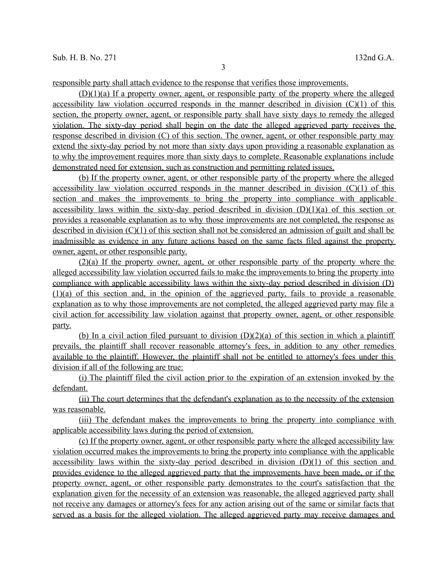responsible party shall attach evidence to the response that verifies those improvements.

 (D)(1)(a) If a property owner, agent, or responsible party of the property where the alleged accessibility law violation occurred responds in the manner described in division  $(C)(1)$  of this section, the property owner, agent, or responsible party shall have sixty days to remedy the alleged violation. The sixty-day period shall begin on the date the alleged aggrieved party receives the response described in division (C) of this section. The owner, agent, or other responsible party may extend the sixty-day period by not more than sixty days upon providing a reasonable explanation as to why the improvement requires more than sixty days to complete. Reasonable explanations include demonstrated need for extension, such as construction and permitting related issues.

 (b) If the property owner, agent, or other responsible party of the property where the alleged accessibility law violation occurred responds in the manner described in division  $(C)(1)$  of this section and makes the improvements to bring the property into compliance with applicable accessibility laws within the sixty-day period described in division  $(D)(1)(a)$  of this section or provides a reasonable explanation as to why those improvements are not completed, the response as described in division (C)(1) of this section shall not be considered an admission of guilt and shall be inadmissible as evidence in any future actions based on the same facts filed against the property owner, agent, or other responsible party.

 (2)(a) If the property owner, agent, or other responsible party of the property where the alleged accessibility law violation occurred fails to make the improvements to bring the property into compliance with applicable accessibility laws within the sixty-day period described in division (D) (1)(a) of this section and, in the opinion of the aggrieved party, fails to provide a reasonable explanation as to why those improvements are not completed, the alleged aggrieved party may file a civil action for accessibility law violation against that property owner, agent, or other responsible party.

(b) In a civil action filed pursuant to division  $(D)(2)(a)$  of this section in which a plaintiff prevails, the plaintiff shall recover reasonable attorney's fees, in addition to any other remedies available to the plaintiff. However, the plaintiff shall not be entitled to attorney's fees under this division if all of the following are true:

 (i) The plaintiff filed the civil action prior to the expiration of an extension invoked by the defendant.

 (ii) The court determines that the defendant's explanation as to the necessity of the extension was reasonable.

 (iii) The defendant makes the improvements to bring the property into compliance with applicable accessibility laws during the period of extension.

 (c) If the property owner, agent, or other responsible party where the alleged accessibility law violation occurred makes the improvements to bring the property into compliance with the applicable accessibility laws within the sixty-day period described in division (D)(1) of this section and provides evidence to the alleged aggrieved party that the improvements have been made, or if the property owner, agent, or other responsible party demonstrates to the court's satisfaction that the explanation given for the necessity of an extension was reasonable, the alleged aggrieved party shall not receive any damages or attorney's fees for any action arising out of the same or similar facts that served as a basis for the alleged violation. The alleged aggrieved party may receive damages and

3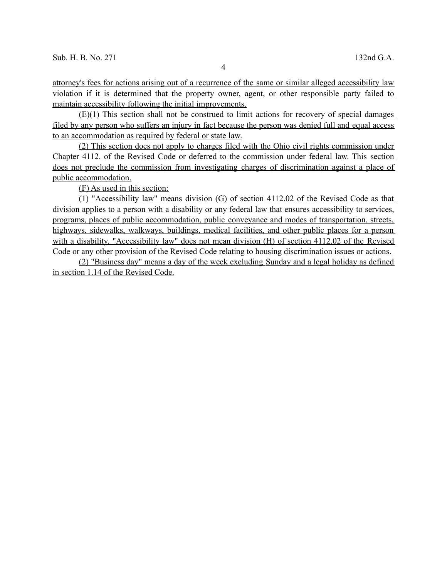attorney's fees for actions arising out of a recurrence of the same or similar alleged accessibility law violation if it is determined that the property owner, agent, or other responsible party failed to maintain accessibility following the initial improvements.

 (E)(1) This section shall not be construed to limit actions for recovery of special damages filed by any person who suffers an injury in fact because the person was denied full and equal access to an accommodation as required by federal or state law.

 (2) This section does not apply to charges filed with the Ohio civil rights commission under Chapter 4112. of the Revised Code or deferred to the commission under federal law. This section does not preclude the commission from investigating charges of discrimination against a place of public accommodation.

(F) As used in this section:

 (1) "Accessibility law" means division (G) of section 4112.02 of the Revised Code as that division applies to a person with a disability or any federal law that ensures accessibility to services, programs, places of public accommodation, public conveyance and modes of transportation, streets, highways, sidewalks, walkways, buildings, medical facilities, and other public places for a person with a disability. "Accessibility law" does not mean division (H) of section 4112.02 of the Revised Code or any other provision of the Revised Code relating to housing discrimination issues or actions.

 (2) "Business day" means a day of the week excluding Sunday and a legal holiday as defined in section 1.14 of the Revised Code.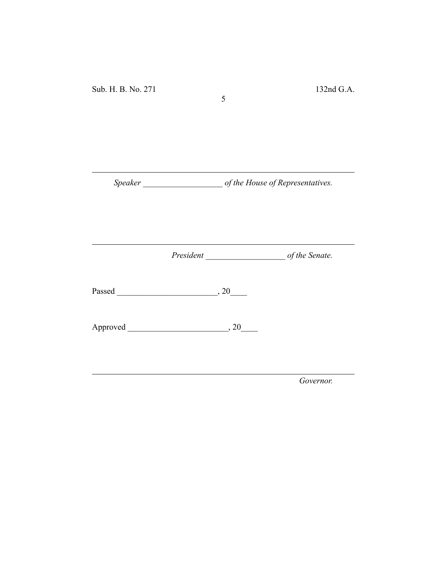*Speaker \_\_\_\_\_\_\_\_\_\_\_\_\_\_\_\_\_\_\_ of the House of Representatives.*

5

*President \_\_\_\_\_\_\_\_\_\_\_\_\_\_\_\_\_\_\_ of the Senate.*

Passed \_\_\_\_\_\_\_\_\_\_\_\_\_\_\_\_\_\_\_\_\_\_\_\_, 20\_\_\_\_

Approved \_\_\_\_\_\_\_\_\_\_\_\_\_\_\_\_\_\_\_\_\_\_\_\_, 20\_\_\_\_

*Governor.*